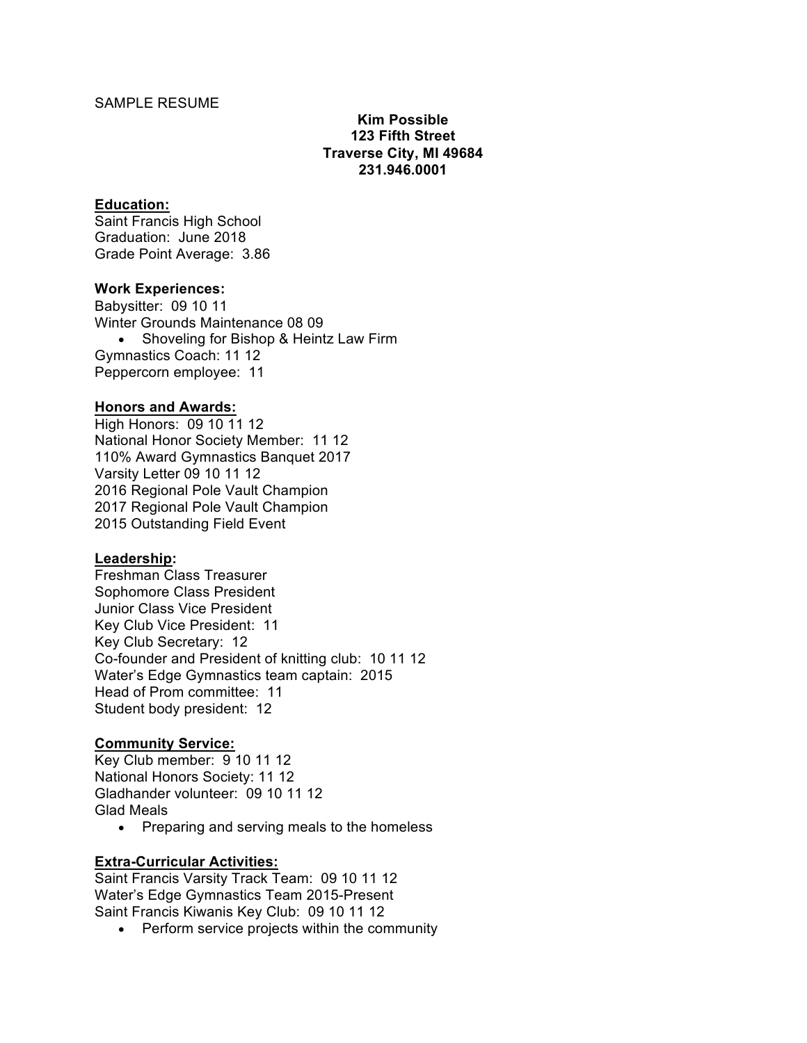## SAMPLE RESUME

## **Kim Possible 123 Fifth Street Traverse City, MI 49684 231.946.0001**

#### **Education:**

Saint Francis High School Graduation: June 2018 Grade Point Average: 3.86

#### **Work Experiences:**

Babysitter: 09 10 11 Winter Grounds Maintenance 08 09 • Shoveling for Bishop & Heintz Law Firm Gymnastics Coach: 11 12 Peppercorn employee: 11

#### **Honors and Awards:**

High Honors: 09 10 11 12 National Honor Society Member: 11 12 110% Award Gymnastics Banquet 2017 Varsity Letter 09 10 11 12 2016 Regional Pole Vault Champion 2017 Regional Pole Vault Champion 2015 Outstanding Field Event

## **Leadership:**

Freshman Class Treasurer Sophomore Class President Junior Class Vice President Key Club Vice President: 11 Key Club Secretary: 12 Co-founder and President of knitting club: 10 11 12 Water's Edge Gymnastics team captain: 2015 Head of Prom committee: 11 Student body president: 12

## **Community Service:**

Key Club member: 9 10 11 12 National Honors Society: 11 12 Gladhander volunteer: 09 10 11 12 Glad Meals

• Preparing and serving meals to the homeless

## **Extra-Curricular Activities:**

Saint Francis Varsity Track Team: 09 10 11 12 Water's Edge Gymnastics Team 2015-Present Saint Francis Kiwanis Key Club: 09 10 11 12

• Perform service projects within the community